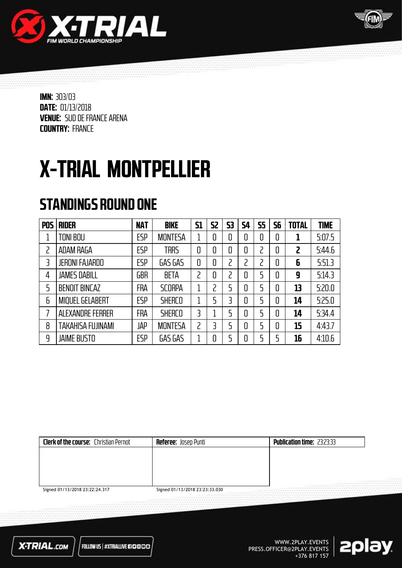



# X-TRIAL MONTPELLIER

### STANDINGS ROUND ONE

| <b>POS</b> | <b>RIDER</b>             | <b>NAT</b> | <b>BIKE</b>    | <b>S1</b>      | 52 | 53 | 54 | <b>S5</b> | 56 | <b>TOTAL</b> | <b>TIME</b> |
|------------|--------------------------|------------|----------------|----------------|----|----|----|-----------|----|--------------|-------------|
|            | <b>TONI BOU</b>          | <b>ESP</b> | <b>MONTESA</b> |                | 0  | 0  | 0  | 0         | 0  |              | 5:07.5      |
| י          | ADAM RAGA                | <b>ESP</b> | <b>TRRS</b>    | 0              | 0  | 0  | 0  | 2         | 0  | 2            | 5:44.6      |
| 3          | <b>JERONI FAJARDO</b>    | ESP        | GAS GAS        | 0              | 0  | 2  |    | ר         | 0  | 6            | 5:51.3      |
| 4          | <b>JAMES DABILL</b>      | GBR        | <b>BETA</b>    | ς              | 0  | 2  | 0  | 5         | 0  | 9            | 5:14.3      |
| 5          | <b>BENOIT BINCAZ</b>     | FRA        | <b>SCORPA</b>  | 1              | 2  | 5  | 0  | 5         | 0  | 13           | 5:20.0      |
| 6          | <b>MIQUEL GELABERT</b>   | <b>ESP</b> | <b>SHERCO</b>  | 1              | 5  | 3  | 0  | 5         | 0  | 14           | 5:25.0      |
|            | ALEXANDRE FERRER         | FRA        | <b>SHERCO</b>  | 3              |    | 5  | 0  | 5         | 0  | 14           | 5.34.4      |
| 8          | <b>TAKAHISA FUJINAMI</b> | JAP        | <b>MONTESA</b> | $\overline{c}$ | 3  | 5  | 0  | 5         | 0  | 15           | 4:43.7      |
| 9          | <b>JAIME BUSTO</b>       | ESP        | GAS GAS        | 1              | 0  | 5  | 0  | 5         |    | 16           | 4:10.6      |

| <b>Clerk of the course:</b> Christian Pernot | <b>Referee:</b> Josep Puntí    | <b>Publication time: 23:23:33</b> |
|----------------------------------------------|--------------------------------|-----------------------------------|
|                                              |                                |                                   |
|                                              |                                |                                   |
|                                              |                                |                                   |
|                                              |                                | <br>                              |
| Signed 01/13/2018 23:22:24.317               | Signed 01/13/2018 23:23:33.030 |                                   |



FOLLOW US | #XTRIALLIVE 670000

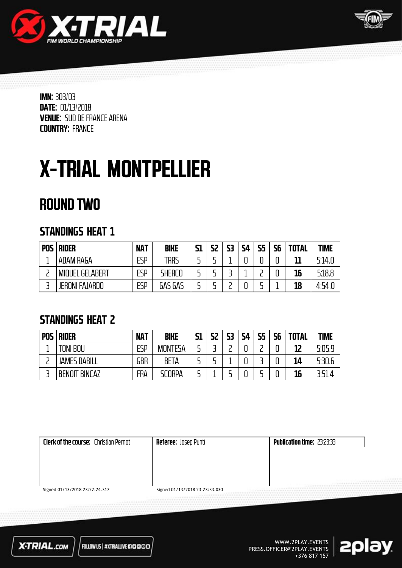



## X-TRIAL MONTPELLIER

### ROUND TWO

#### STANDINGS HEAT 1

| <b>POS</b> | <b>RIDER</b>           | <b>NAT</b> | <b>BIKE</b> | <b>S1</b> | S2 | 53 | <b>S4</b> | 55<br>-- | 56 | <b>TOTAL</b> | <b>TIME</b> |
|------------|------------------------|------------|-------------|-----------|----|----|-----------|----------|----|--------------|-------------|
|            | ADAM RAGA              | ESP        | TRRS        |           |    |    | C         |          |    | 11           | 5:14.0      |
|            | <b>MIQUEL GELABERT</b> | ESP        | SHERCO      | -         |    |    |           |          |    | 16           | 5:18.8      |
|            | <b>JERONI FAJARDO</b>  | ESP        | GAS GAS     |           |    |    |           |          |    | 18           | 4:54.0      |

#### STANDINGS HEAT 2

| <b>POS</b> | <b>RIDER</b>              | <b>NAT</b> | <b>BIKE</b>    | <b>S1</b> | S2 | 53 | <b>S4</b> | <b>CE</b> | 56 | <b>TOTAL</b> | <b>TIME</b> |
|------------|---------------------------|------------|----------------|-----------|----|----|-----------|-----------|----|--------------|-------------|
|            | <b>TONI BOU</b>           | ESP        | <b>MONTESA</b> |           |    |    |           |           |    | 12           | 5:05.9      |
|            | <b>JAMES DABILL</b>       | GBR        | <b>BETA</b>    |           |    |    |           |           |    | 14           | 5:30.6      |
|            | ' BINCAZ<br><b>BENOIT</b> | FRA        | SCORPA         |           |    |    |           |           |    | 16           | 3:51.4      |

| <b>Clerk of the course:</b> Christian Pernot | <b>Referee: Josep Punti</b>    | <b>Publication time: 23:23:33</b> |
|----------------------------------------------|--------------------------------|-----------------------------------|
|                                              |                                |                                   |
|                                              |                                |                                   |
|                                              |                                |                                   |
|                                              |                                | -----<br><br>                     |
| Signed 01/13/2018 23:22:24.317               | Signed 01/13/2018 23:23:33.030 |                                   |

Signed 01/13/2018 23:22:24.317

Signed 01/13/2018 23:23:33.030



FOLLOW US | #XTRIALLIVE #10000

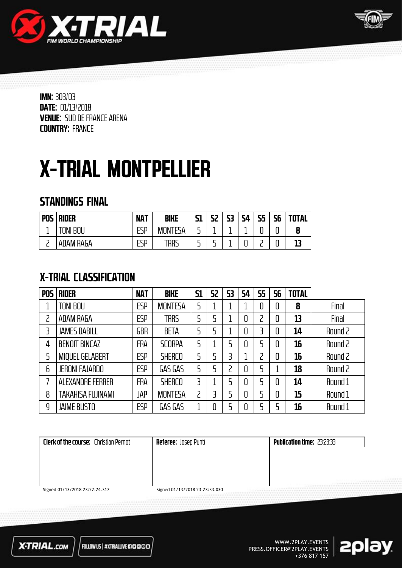



## X-TRIAL MONTPELLIER

#### STANDINGS FINAL

| <b>POS</b> | <b>RIDER</b>           | <b>NAT</b>       | <b>BIKE</b>               | 61<br>נכ | 52     | 53 | <b>S4</b> | 55<br>-- | 56 | <b>TOTAL</b> |
|------------|------------------------|------------------|---------------------------|----------|--------|----|-----------|----------|----|--------------|
| -          | BOU<br>$T$ $N$ $N$ $n$ | rcn<br>⊢שר<br>-- | <b>MON</b><br><b>TESA</b> | -<br>-   |        |    |           |          | u  |              |
|            | ADAM RAGA              | FSP<br>--        | trrs                      | -<br>-   | -<br>- |    | u         |          | u  |              |

### X-TRIAL CLASSIFICATION

| <b>POS</b> | <b>RIDER</b>            | <b>NAT</b> | <b>BIKE</b>    | <b>S1</b>      | <b>S2</b> | 53 | 54 | <b>S5</b> | 56 | <b>TOTAL</b> |         |
|------------|-------------------------|------------|----------------|----------------|-----------|----|----|-----------|----|--------------|---------|
|            | TONI BOU                | <b>ESP</b> | <b>MONTESA</b> | 5              |           |    |    |           | 0  | 8            | Final   |
| 2          | <b>ADAM RAGA</b>        | <b>ESP</b> | <b>TRRS</b>    | 5              | 5         |    | 0  |           | 0  | 13           | Final   |
| 3          | <b>JAMES DABILL</b>     | GBR        | <b>BETA</b>    | 5              | 5         |    | 0  |           | 0  | 14           | Round 2 |
| 4          | <b>BENOIT BINCAZ</b>    | <b>FRA</b> | <b>SCORPA</b>  | 5              |           |    | 0  |           | 0  | 16           | Round 2 |
| 5          | <b>MIQUEL GELABERT</b>  | <b>ESP</b> | <b>SHERCO</b>  | 5              | 5         |    |    |           | 0  | 16           | Round 2 |
| 6          | <b>JERONI FAJARDO</b>   | <b>ESP</b> | GAS GAS        | 5              | 5         | フ  | 0  |           |    | 18           | Round 2 |
| 7          | <b>ALEXANDRE FERRER</b> | <b>FRA</b> | <b>SHERCO</b>  | 3              |           |    | 0  |           | 0  | 14           | Round 1 |
| 8          | TAKAHISA FUJINAMI       | JAP        | <b>MONTESA</b> | $\overline{c}$ | 3         |    | 0  |           | 0  | 15           | Round 1 |
| 9          | <b>JAIME BUSTO</b>      | <b>ESP</b> | GAS GAS        | 1              | 0         |    |    |           | 5  | 16           | Round 1 |

| 1.1.1.1<br>******************<br><b></b> |
|------------------------------------------|
| Signed 01/13/2018 23:23:33.030           |

Signed 01/13/2018 23:22:24.317

Signed 01/13/2018 23:23:33.030



FOLLOW US | #XTRIALLIVE #10000